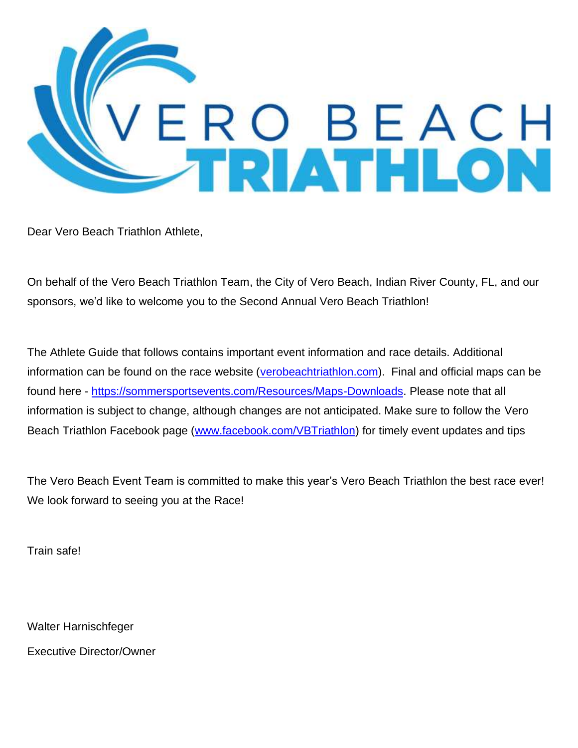

Dear Vero Beach Triathlon Athlete,

On behalf of the Vero Beach Triathlon Team, the City of Vero Beach, Indian River County, FL, and our sponsors, we'd like to welcome you to the Second Annual Vero Beach Triathlon!

The Athlete Guide that follows contains important event information and race details. Additional information can be found on the race website [\(verobeachtriathlon.com\)](http://www.greatclermonttriathlon.com/). Final and official maps can be found here - [https://sommersportsevents.com/Resources/Maps-Downloads.](https://sommersportsevents.com/Resources/Maps-Downloads) Please note that all information is subject to change, although changes are not anticipated. Make sure to follow the Vero Beach Triathlon Facebook page [\(www.facebook.com/VBTriathlon\)](http://www.facebook.com/VBTriathlon) for timely event updates and tips

The Vero Beach Event Team is committed to make this year's Vero Beach Triathlon the best race ever! We look forward to seeing you at the Race!

Train safe!

Walter Harnischfeger

Executive Director/Owner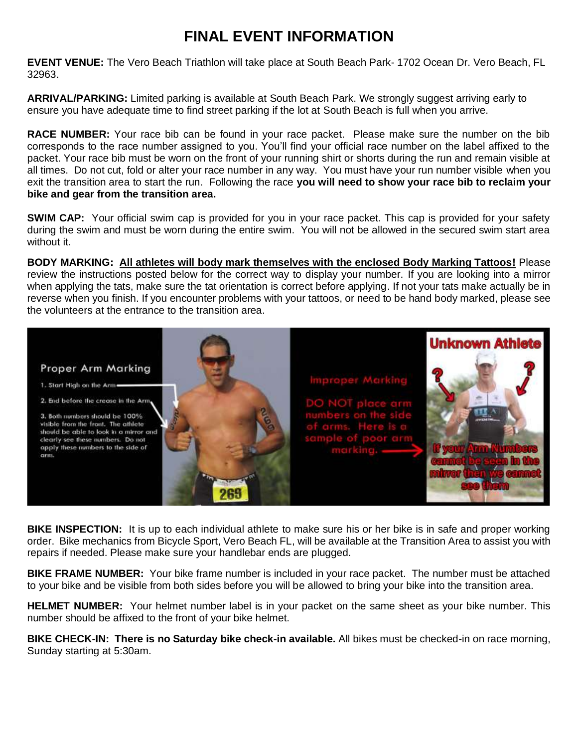# **FINAL EVENT INFORMATION**

**EVENT VENUE:** The Vero Beach Triathlon will take place at South Beach Park- 1702 Ocean Dr. Vero Beach, FL 32963.

**ARRIVAL/PARKING:** Limited parking is available at South Beach Park. We strongly suggest arriving early to ensure you have adequate time to find street parking if the lot at South Beach is full when you arrive.

**RACE NUMBER:** Your race bib can be found in your race packet. Please make sure the number on the bib corresponds to the race number assigned to you. You'll find your official race number on the label affixed to the packet. Your race bib must be worn on the front of your running shirt or shorts during the run and remain visible at all times. Do not cut, fold or alter your race number in any way. You must have your run number visible when you exit the transition area to start the run. Following the race **you will need to show your race bib to reclaim your bike and gear from the transition area.**

**SWIM CAP:** Your official swim cap is provided for you in your race packet. This cap is provided for your safety during the swim and must be worn during the entire swim. You will not be allowed in the secured swim start area without it.

**BODY MARKING: All athletes will body mark themselves with the enclosed Body Marking Tattoos!** Please review the instructions posted below for the correct way to display your number. If you are looking into a mirror when applying the tats, make sure the tat orientation is correct before applying. If not your tats make actually be in reverse when you finish. If you encounter problems with your tattoos, or need to be hand body marked, please see the volunteers at the entrance to the transition area.



**BIKE INSPECTION:** It is up to each individual athlete to make sure his or her bike is in safe and proper working order. Bike mechanics from Bicycle Sport, Vero Beach FL, will be available at the Transition Area to assist you with repairs if needed. Please make sure your handlebar ends are plugged.

**BIKE FRAME NUMBER:** Your bike frame number is included in your race packet. The number must be attached to your bike and be visible from both sides before you will be allowed to bring your bike into the transition area.

**HELMET NUMBER:** Your helmet number label is in your packet on the same sheet as your bike number. This number should be affixed to the front of your bike helmet.

**BIKE CHECK-IN: There is no Saturday bike check-in available.** All bikes must be checked-in on race morning, Sunday starting at 5:30am.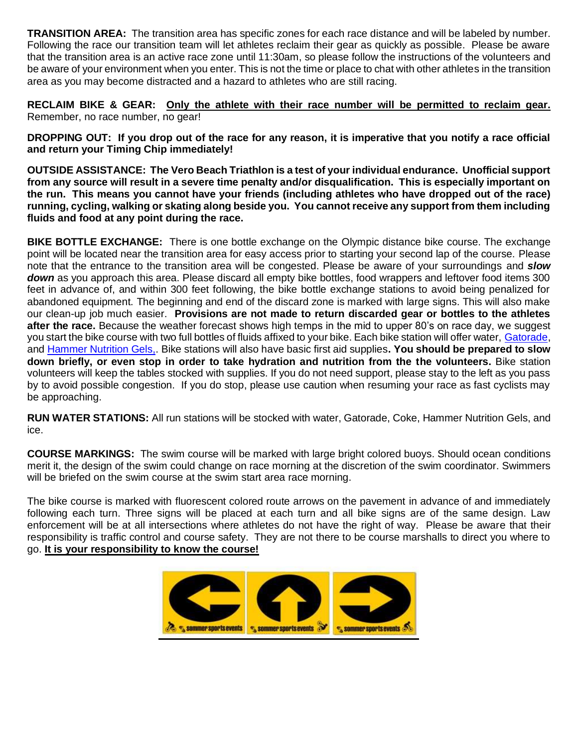**TRANSITION AREA:** The transition area has specific zones for each race distance and will be labeled by number. Following the race our transition team will let athletes reclaim their gear as quickly as possible. Please be aware that the transition area is an active race zone until 11:30am, so please follow the instructions of the volunteers and be aware of your environment when you enter. This is not the time or place to chat with other athletes in the transition area as you may become distracted and a hazard to athletes who are still racing.

**RECLAIM BIKE & GEAR: Only the athlete with their race number will be permitted to reclaim gear.** Remember, no race number, no gear!

**DROPPING OUT: If you drop out of the race for any reason, it is imperative that you notify a race official and return your Timing Chip immediately!**

**OUTSIDE ASSISTANCE: The Vero Beach Triathlon is a test of your individual endurance. Unofficial support from any source will result in a severe time penalty and/or disqualification. This is especially important on the run. This means you cannot have your friends (including athletes who have dropped out of the race) running, cycling, walking or skating along beside you. You cannot receive any support from them including fluids and food at any point during the race.**

**BIKE BOTTLE EXCHANGE:** There is one bottle exchange on the Olympic distance bike course. The exchange point will be located near the transition area for easy access prior to starting your second lap of the course. Please note that the entrance to the transition area will be congested. Please be aware of your surroundings and *slow down* as you approach this area. Please discard all empty bike bottles, food wrappers and leftover food items 300 feet in advance of, and within 300 feet following, the bike bottle exchange stations to avoid being penalized for abandoned equipment. The beginning and end of the discard zone is marked with large signs. This will also make our clean-up job much easier. **Provisions are not made to return discarded gear or bottles to the athletes after the race.** Because the weather forecast shows high temps in the mid to upper 80's on race day, we suggest you start the bike course with two full bottles of fluids affixed to your bike. Each bike station will offer water, [Gatorade,](https://www.gatorade.com/) and [Hammer Nutrition Gels,](https://www.hammernutrition.com/). Bike stations will also have basic first aid supplies**. You should be prepared to slow down briefly, or even stop in order to take hydration and nutrition from the the volunteers.** Bike station volunteers will keep the tables stocked with supplies. If you do not need support, please stay to the left as you pass by to avoid possible congestion. If you do stop, please use caution when resuming your race as fast cyclists may be approaching.

**RUN WATER STATIONS:** All run stations will be stocked with water, Gatorade, Coke, Hammer Nutrition Gels, and ice.

**COURSE MARKINGS:** The swim course will be marked with large bright colored buoys. Should ocean conditions merit it, the design of the swim could change on race morning at the discretion of the swim coordinator. Swimmers will be briefed on the swim course at the swim start area race morning.

The bike course is marked with fluorescent colored route arrows on the pavement in advance of and immediately following each turn. Three signs will be placed at each turn and all bike signs are of the same design. Law enforcement will be at all intersections where athletes do not have the right of way. Please be aware that their responsibility is traffic control and course safety. They are not there to be course marshalls to direct you where to go. **It is your responsibility to know the course!**

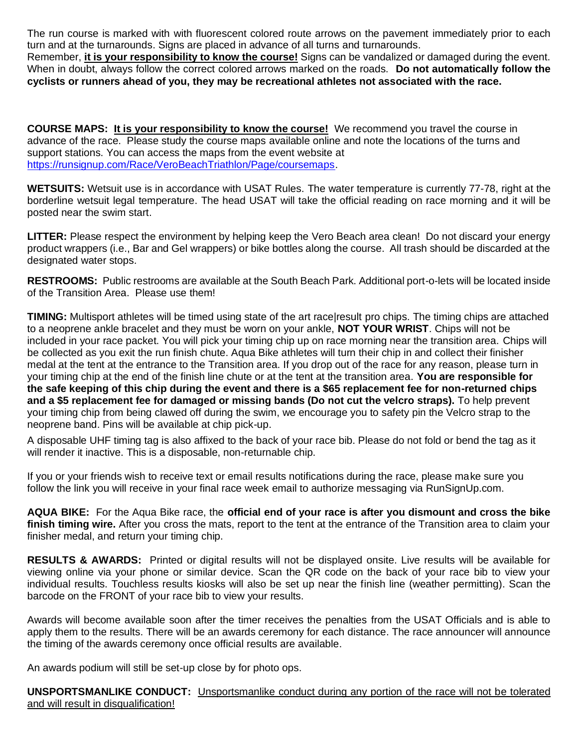The run course is marked with with fluorescent colored route arrows on the pavement immediately prior to each turn and at the turnarounds. Signs are placed in advance of all turns and turnarounds.

Remember, **it is your responsibility to know the course!** Signs can be vandalized or damaged during the event. When in doubt, always follow the correct colored arrows marked on the roads. **Do not automatically follow the cyclists or runners ahead of you, they may be recreational athletes not associated with the race.** 

**COURSE MAPS: It is your responsibility to know the course!** We recommend you travel the course in advance of the race. Please study the course maps available online and note the locations of the turns and support stations. You can access the maps from the event website at [https://runsignup.com/Race/VeroBeachTriathlon/Page/coursemaps.](https://runsignup.com/Race/VeroBeachTriathlon/Page/coursemaps)

**WETSUITS:** Wetsuit use is in accordance with USAT Rules. The water temperature is currently 77-78, right at the borderline wetsuit legal temperature. The head USAT will take the official reading on race morning and it will be posted near the swim start.

**LITTER:** Please respect the environment by helping keep the Vero Beach area clean! Do not discard your energy product wrappers (i.e., Bar and Gel wrappers) or bike bottles along the course. All trash should be discarded at the designated water stops.

**RESTROOMS:** Public restrooms are available at the South Beach Park. Additional port-o-lets will be located inside of the Transition Area. Please use them!

**TIMING:** Multisport athletes will be timed using state of the art race|result pro chips. The timing chips are attached to a neoprene ankle bracelet and they must be worn on your ankle, **NOT YOUR WRIST**. Chips will not be included in your race packet. You will pick your timing chip up on race morning near the transition area. Chips will be collected as you exit the run finish chute. Aqua Bike athletes will turn their chip in and collect their finisher medal at the tent at the entrance to the Transition area. If you drop out of the race for any reason, please turn in your timing chip at the end of the finish line chute or at the tent at the transition area. **You are responsible for the safe keeping of this chip during the event and there is a \$65 replacement fee for non-returned chips and a \$5 replacement fee for damaged or missing bands (Do not cut the velcro straps).** To help prevent your timing chip from being clawed off during the swim, we encourage you to safety pin the Velcro strap to the neoprene band. Pins will be available at chip pick-up.

A disposable UHF timing tag is also affixed to the back of your race bib. Please do not fold or bend the tag as it will render it inactive. This is a disposable, non-returnable chip.

If you or your friends wish to receive text or email results notifications during the race, please make sure you follow the link you will receive in your final race week email to authorize messaging via RunSignUp.com.

**AQUA BIKE:** For the Aqua Bike race, the **official end of your race is after you dismount and cross the bike finish timing wire.** After you cross the mats, report to the tent at the entrance of the Transition area to claim your finisher medal, and return your timing chip.

**RESULTS & AWARDS:** Printed or digital results will not be displayed onsite. Live results will be available for viewing online via your phone or similar device. Scan the QR code on the back of your race bib to view your individual results. Touchless results kiosks will also be set up near the finish line (weather permitting). Scan the barcode on the FRONT of your race bib to view your results.

Awards will become available soon after the timer receives the penalties from the USAT Officials and is able to apply them to the results. There will be an awards ceremony for each distance. The race announcer will announce the timing of the awards ceremony once official results are available.

An awards podium will still be set-up close by for photo ops.

**UNSPORTSMANLIKE CONDUCT:** Unsportsmanlike conduct during any portion of the race will not be tolerated and will result in disqualification!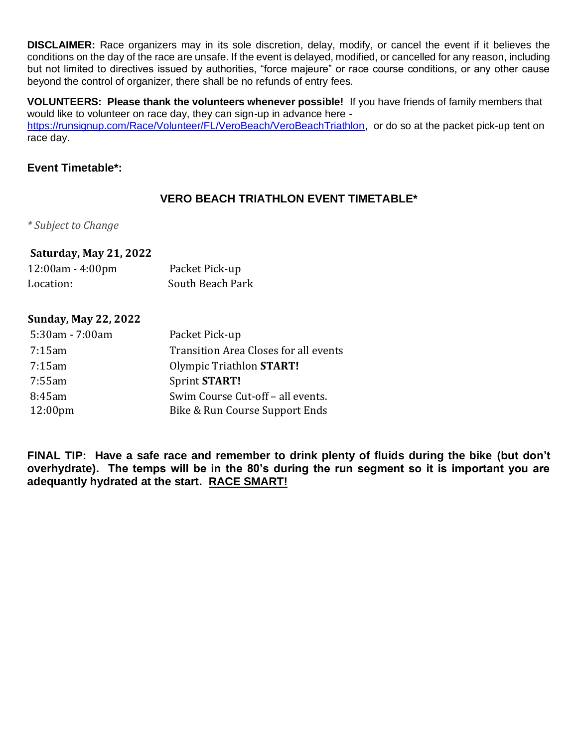**DISCLAIMER:** Race organizers may in its sole discretion, delay, modify, or cancel the event if it believes the conditions on the day of the race are unsafe. If the event is delayed, modified, or cancelled for any reason, including but not limited to directives issued by authorities, "force majeure" or race course conditions, or any other cause beyond the control of organizer, there shall be no refunds of entry fees.

**VOLUNTEERS: Please thank the volunteers whenever possible!** If you have friends of family members that would like to volunteer on race day, they can sign-up in advance here [https://runsignup.com/Race/Volunteer/FL/VeroBeach/VeroBeachTriathlon,](https://runsignup.com/Race/Volunteer/FL/VeroBeach/VeroBeachTriathlon) or do so at the packet pick-up tent on race day.

### **Event Timetable\*:**

## **VERO BEACH TRIATHLON EVENT TIMETABLE\***

*\* Subject to Change*

## **Saturday, May 21, 2022**

| $12:00am - 4:00pm$ | Packet Pick-up   |  |  |
|--------------------|------------------|--|--|
| Location:          | South Beach Park |  |  |

### **Sunday, May 22, 2022**

| 5:30am - 7:00am   | Packet Pick-up                        |
|-------------------|---------------------------------------|
| 7:15am            | Transition Area Closes for all events |
| $7:15$ am         | Olympic Triathlon START!              |
| 7:55am            | Sprint START!                         |
| 8:45am            | Swim Course Cut-off - all events.     |
| $12:00 \text{pm}$ | Bike & Run Course Support Ends        |

**FINAL TIP: Have a safe race and remember to drink plenty of fluids during the bike (but don't overhydrate). The temps will be in the 80's during the run segment so it is important you are adequantly hydrated at the start. RACE SMART!**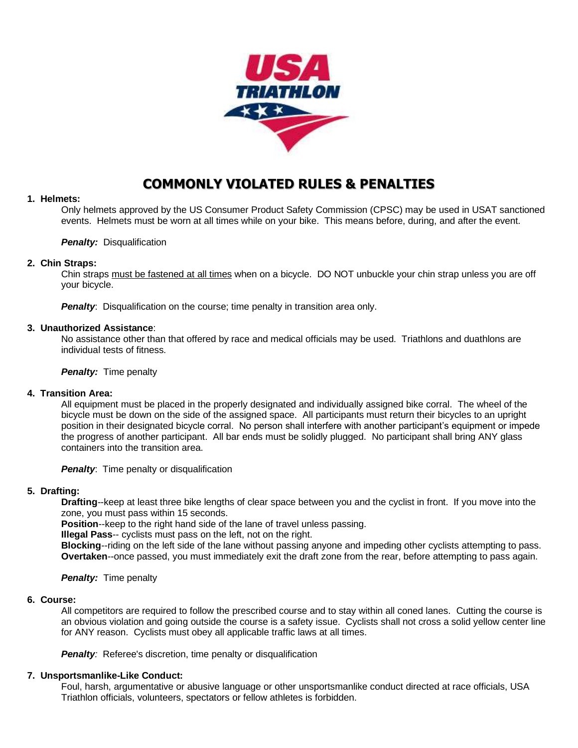

## **COMMONLY VIOLATED RULES & PENALTIES**

#### **1. Helmets:**

Only helmets approved by the US Consumer Product Safety Commission (CPSC) may be used in USAT sanctioned events. Helmets must be worn at all times while on your bike. This means before, during, and after the event.

#### *Penalty: Disqualification*

#### **2. Chin Straps:**

Chin straps must be fastened at all times when on a bicycle. DO NOT unbuckle your chin strap unless you are off your bicycle.

**Penalty:** Disqualification on the course; time penalty in transition area only.

#### **3. Unauthorized Assistance**:

No assistance other than that offered by race and medical officials may be used. Triathlons and duathlons are individual tests of fitness.

*Penalty:* Time penalty

#### **4. Transition Area:**

All equipment must be placed in the properly designated and individually assigned bike corral. The wheel of the bicycle must be down on the side of the assigned space. All participants must return their bicycles to an upright position in their designated bicycle corral. No person shall interfere with another participant's equipment or impede the progress of another participant. All bar ends must be solidly plugged. No participant shall bring ANY glass containers into the transition area.

**Penalty:** Time penalty or disqualification

#### **5. Drafting:**

**Drafting**--keep at least three bike lengths of clear space between you and the cyclist in front. If you move into the zone, you must pass within 15 seconds.

**Position**--keep to the right hand side of the lane of travel unless passing.

**Illegal Pass**-- cyclists must pass on the left, not on the right.

**Blocking**--riding on the left side of the lane without passing anyone and impeding other cyclists attempting to pass. **Overtaken**--once passed, you must immediately exit the draft zone from the rear, before attempting to pass again.

*Penalty:* Time penalty

#### **6. Course:**

All competitors are required to follow the prescribed course and to stay within all coned lanes. Cutting the course is an obvious violation and going outside the course is a safety issue. Cyclists shall not cross a solid yellow center line for ANY reason. Cyclists must obey all applicable traffic laws at all times.

**Penalty:** Referee's discretion, time penalty or disqualification

#### **7. Unsportsmanlike-Like Conduct:**

Foul, harsh, argumentative or abusive language or other unsportsmanlike conduct directed at race officials, USA Triathlon officials, volunteers, spectators or fellow athletes is forbidden.